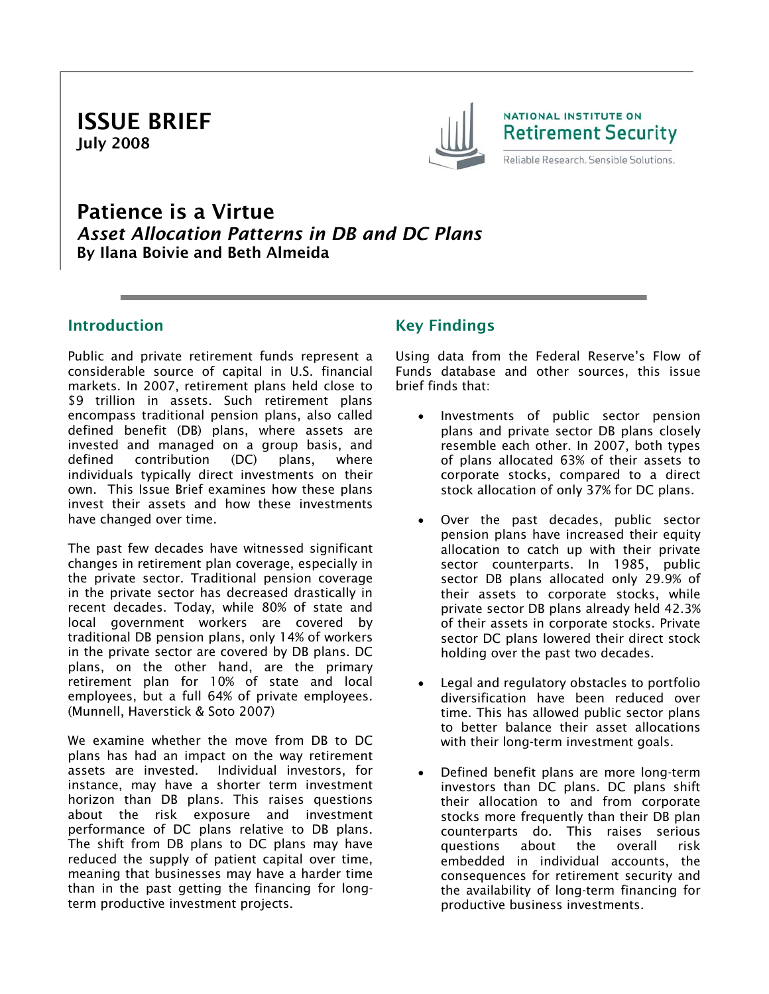ISSUE BRIEF July 2008



# Patience is a Virtue *Asset Allocation Patterns in DB and DC Plans*  By Ilana Boivie and Beth Almeida

## Introduction

Public and private retirement funds represent a considerable source of capital in U.S. financial markets. In 2007, retirement plans held close to \$9 trillion in assets. Such retirement plans encompass traditional pension plans, also called defined benefit (DB) plans, where assets are invested and managed on a group basis, and defined contribution (DC) plans, where individuals typically direct investments on their own. This Issue Brief examines how these plans invest their assets and how these investments have changed over time.

The past few decades have witnessed significant changes in retirement plan coverage, especially in the private sector. Traditional pension coverage in the private sector has decreased drastically in recent decades. Today, while 80% of state and local government workers are covered by traditional DB pension plans, only 14% of workers in the private sector are covered by DB plans. DC plans, on the other hand, are the primary retirement plan for 10% of state and local employees, but a full 64% of private employees. (Munnell, Haverstick & Soto 2007)

We examine whether the move from DB to DC plans has had an impact on the way retirement assets are invested. Individual investors, for instance, may have a shorter term investment horizon than DB plans. This raises questions about the risk exposure and investment performance of DC plans relative to DB plans. The shift from DB plans to DC plans may have reduced the supply of patient capital over time, meaning that businesses may have a harder time than in the past getting the financing for longterm productive investment projects.

# Key Findings

Using data from the Federal Reserve's Flow of Funds database and other sources, this issue brief finds that:

- Investments of public sector pension plans and private sector DB plans closely resemble each other. In 2007, both types of plans allocated 63% of their assets to corporate stocks, compared to a direct stock allocation of only 37% for DC plans.
- Over the past decades, public sector pension plans have increased their equity allocation to catch up with their private sector counterparts. In 1985, public sector DB plans allocated only 29.9% of their assets to corporate stocks, while private sector DB plans already held 42.3% of their assets in corporate stocks. Private sector DC plans lowered their direct stock holding over the past two decades.
- Legal and regulatory obstacles to portfolio diversification have been reduced over time. This has allowed public sector plans to better balance their asset allocations with their long-term investment goals.
- Defined benefit plans are more long-term investors than DC plans. DC plans shift their allocation to and from corporate stocks more frequently than their DB plan counterparts do. This raises serious questions about the overall risk embedded in individual accounts, the consequences for retirement security and the availability of long-term financing for productive business investments.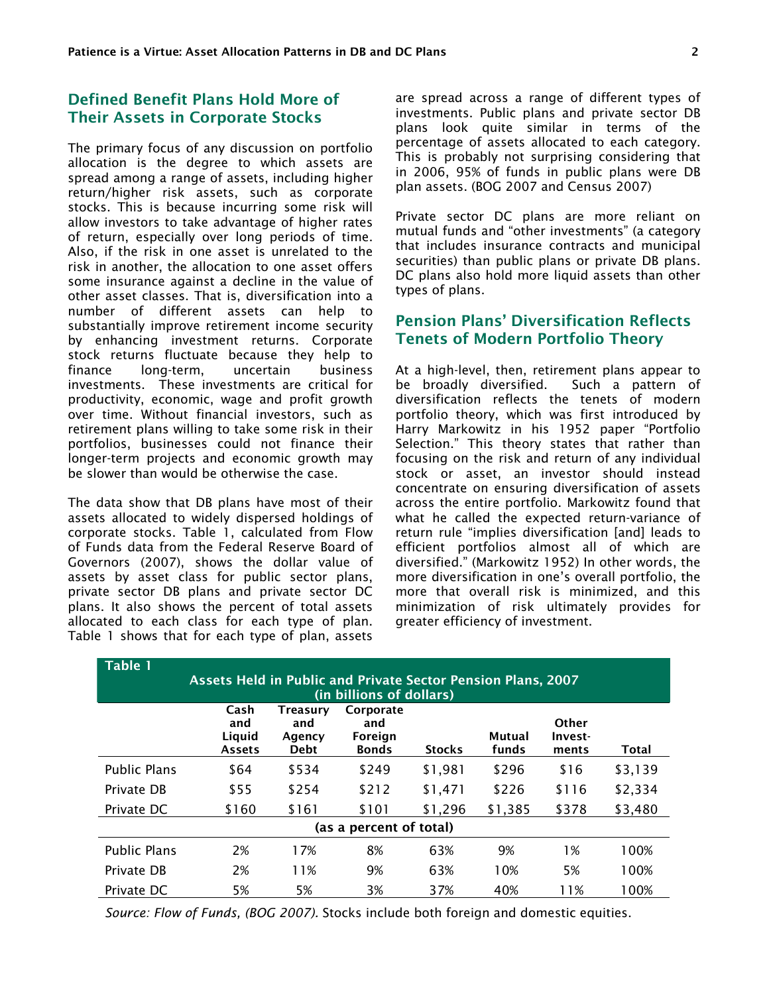## Defined Benefit Plans Hold More of Their Assets in Corporate Stocks

The primary focus of any discussion on portfolio allocation is the degree to which assets are spread among a range of assets, including higher return/higher risk assets, such as corporate stocks. This is because incurring some risk will allow investors to take advantage of higher rates of return, especially over long periods of time. Also, if the risk in one asset is unrelated to the risk in another, the allocation to one asset offers some insurance against a decline in the value of other asset classes. That is, diversification into a number of different assets can help to substantially improve retirement income security by enhancing investment returns. Corporate stock returns fluctuate because they help to finance long-term, uncertain business investments. These investments are critical for productivity, economic, wage and profit growth over time. Without financial investors, such as retirement plans willing to take some risk in their portfolios, businesses could not finance their longer-term projects and economic growth may be slower than would be otherwise the case.

The data show that DB plans have most of their assets allocated to widely dispersed holdings of corporate stocks. Table 1, calculated from Flow of Funds data from the Federal Reserve Board of Governors (2007), shows the dollar value of assets by asset class for public sector plans, private sector DB plans and private sector DC plans. It also shows the percent of total assets allocated to each class for each type of plan. Table 1 shows that for each type of plan, assets

are spread across a range of different types of investments. Public plans and private sector DB plans look quite similar in terms of the percentage of assets allocated to each category. This is probably not surprising considering that in 2006, 95% of funds in public plans were DB plan assets. (BOG 2007 and Census 2007)

Private sector DC plans are more reliant on mutual funds and "other investments" (a category that includes insurance contracts and municipal securities) than public plans or private DB plans. DC plans also hold more liquid assets than other types of plans.

## Pension Plans' Diversification Reflects Tenets of Modern Portfolio Theory

At a high-level, then, retirement plans appear to be broadly diversified. Such a pattern of diversification reflects the tenets of modern portfolio theory, which was first introduced by Harry Markowitz in his 1952 paper "Portfolio Selection." This theory states that rather than focusing on the risk and return of any individual stock or asset, an investor should instead concentrate on ensuring diversification of assets across the entire portfolio. Markowitz found that what he called the expected return-variance of return rule "implies diversification [and] leads to efficient portfolios almost all of which are diversified." (Markowitz 1952) In other words, the more diversification in one's overall portfolio, the more that overall risk is minimized, and this minimization of risk ultimately provides for greater efficiency of investment.

| <b>Table 1</b>                                                      |                                        |                                          |                                             |               |                 |                           |              |  |  |  |
|---------------------------------------------------------------------|----------------------------------------|------------------------------------------|---------------------------------------------|---------------|-----------------|---------------------------|--------------|--|--|--|
| <b>Assets Held in Public and Private Sector Pension Plans, 2007</b> |                                        |                                          |                                             |               |                 |                           |              |  |  |  |
| (in billions of dollars)                                            |                                        |                                          |                                             |               |                 |                           |              |  |  |  |
|                                                                     | Cash<br>and<br>Liquid<br><b>Assets</b> | Treasury<br>and<br>Agency<br><b>Debt</b> | Corporate<br>and<br>Foreign<br><b>Bonds</b> | <b>Stocks</b> | Mutual<br>funds | Other<br>Invest-<br>ments | <b>Total</b> |  |  |  |
| <b>Public Plans</b>                                                 | \$64                                   | \$534                                    | \$249                                       | \$1,981       | \$296           | \$16                      | \$3,139      |  |  |  |
| Private DB                                                          | \$55                                   | \$254                                    | \$212                                       | \$1,471       | \$226           | \$116                     | \$2,334      |  |  |  |
| Private DC                                                          | \$160                                  | \$161                                    | \$101                                       | \$1,296       | \$1,385         | \$378                     | \$3,480      |  |  |  |
| (as a percent of total)                                             |                                        |                                          |                                             |               |                 |                           |              |  |  |  |
| <b>Public Plans</b>                                                 | 2%                                     | 17%                                      | 8%                                          | 63%           | 9%              | 1%                        | 100%         |  |  |  |
| Private DB                                                          | 2%                                     | 11%                                      | 9%                                          | 63%           | 10%             | 5%                        | 100%         |  |  |  |
| Private DC                                                          | 5%                                     | 5%                                       | 3%                                          | 37%           | 40%             | 11%                       | 100%         |  |  |  |

*Source: Flow of Funds, (BOG 2007).* Stocks include both foreign and domestic equities.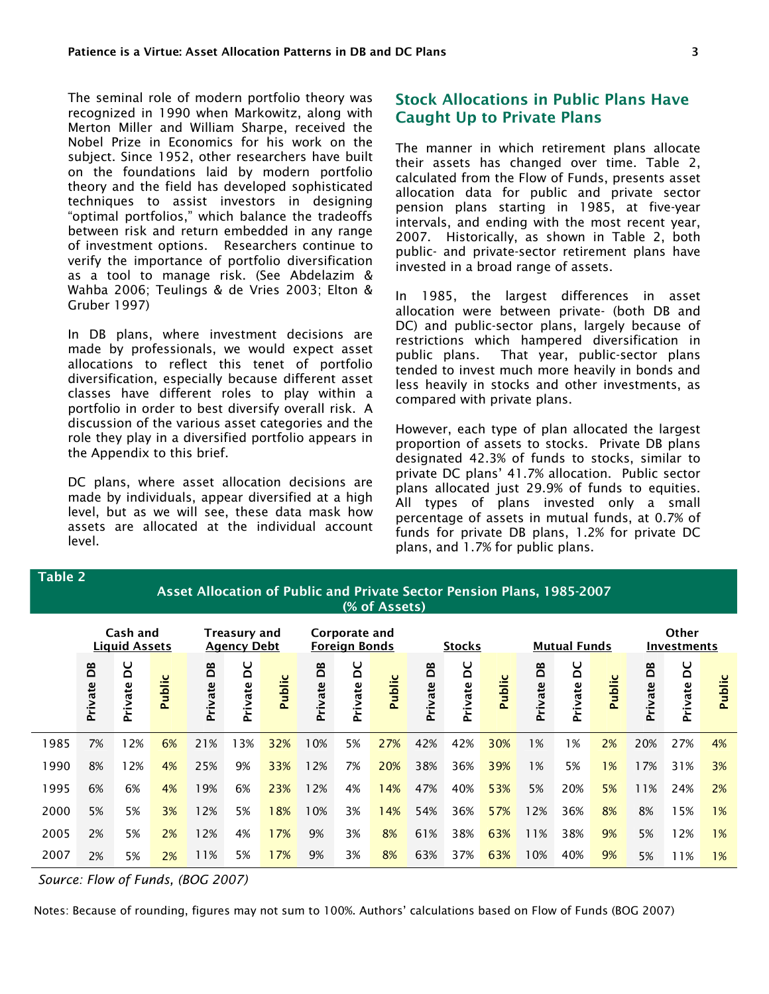The seminal role of modern portfolio theory was recognized in 1990 when Markowitz, along with Merton Miller and William Sharpe, received the Nobel Prize in Economics for his work on the subject. Since 1952, other researchers have built on the foundations laid by modern portfolio theory and the field has developed sophisticated techniques to assist investors in designing "optimal portfolios," which balance the tradeoffs between risk and return embedded in any range of investment options. Researchers continue to verify the importance of portfolio diversification as a tool to manage risk. (See Abdelazim & Wahba 2006; Teulings & de Vries 2003; Elton & Gruber 1997)

In DB plans, where investment decisions are made by professionals, we would expect asset allocations to reflect this tenet of portfolio diversification, especially because different asset classes have different roles to play within a portfolio in order to best diversify overall risk. A discussion of the various asset categories and the role they play in a diversified portfolio appears in the Appendix to this brief.

DC plans, where asset allocation decisions are made by individuals, appear diversified at a high level, but as we will see, these data mask how assets are allocated at the individual account level.

#### Stock Allocations in Public Plans Have Caught Up to Private Plans

The manner in which retirement plans allocate their assets has changed over time. Table 2, calculated from the Flow of Funds, presents asset allocation data for public and private sector pension plans starting in 1985, at five-year intervals, and ending with the most recent year, 2007. Historically, as shown in Table 2, both public- and private-sector retirement plans have invested in a broad range of assets.

In 1985, the largest differences in asset allocation were between private- (both DB and DC) and public-sector plans, largely because of restrictions which hampered diversification in public plans. That year, public-sector plans tended to invest much more heavily in bonds and less heavily in stocks and other investments, as compared with private plans.

However, each type of plan allocated the largest proportion of assets to stocks. Private DB plans designated 42.3% of funds to stocks, similar to private DC plans' 41.7% allocation. Public sector plans allocated just 29.9% of funds to equities. All types of plans invested only a small percentage of assets in mutual funds, at 0.7% of funds for private DB plans, 1.2% for private DC plans, and 1.7% for public plans.

#### Asset Allocation of Public and Private Sector Pension Plans, 1985-2007 (% of Assets) Cash and Liquid Assets Treasury and Agency Debt Corporate and Foreign Bonds Stocks Mutual Funds

|      |                      | <b>LIMMIN / 199619</b> |        |                          | 1.921127200  |        |                    | T ALCIAN RANNA |                                   |              | ,,,,,,       |             |              |              |                    |                  |              |               |
|------|----------------------|------------------------|--------|--------------------------|--------------|--------|--------------------|----------------|-----------------------------------|--------------|--------------|-------------|--------------|--------------|--------------------|------------------|--------------|---------------|
|      | <b>BO</b><br>Private | pa<br>Private          | Public | <b>BO</b><br>rivate<br>௳ | ă<br>Private | Public | පි<br>rivate<br>ءَ | DC<br>Private  | $\mathbf \omega$<br><b>Public</b> | DB<br>rivate | ă<br>Private | ပ<br>Publio | වී<br>rivate | ă<br>Private | ပ<br><b>Public</b> | ő<br>rivate<br>௳ | ă<br>Private | <b>Public</b> |
| 1985 | 7%                   | l 2%                   | 6%     | 21%                      | 13%          | 32%    | 10%                | 5%             | 27%                               | 42%          | 42%          | 30%         | 1%           | 1%           | 2%                 | 20%              | 27%          | 4%            |
| 1990 | 8%                   | 12%                    | 4%     | 25%                      | 9%           | 33%    | 12%                | 7%             | 20%                               | 38%          | 36%          | 39%         | 1%           | 5%           | $1\%$              | 17%              | 31%          | 3%            |
| 1995 | 6%                   | 6%                     | 4%     | 19%                      | 6%           | 23%    | 12%                | 4%             | 14%                               | 47%          | 40%          | 53%         | 5%           | 20%          | 5%                 | 11%              | 24%          | <b>2%</b>     |
| 2000 | 5%                   | 5%                     | 3%     | 12%                      | 5%           | 18%    | 10%                | 3%             | 14%                               | 54%          | 36%          | 57%         | 12%          | 36%          | 8%                 | 8%               | 15%          | $1\%$         |
| 2005 | 2%                   | 5%                     | 2%     | 12%                      | 4%           | 17%    | 9%                 | 3%             | 8%                                | 61%          | 38%          | 63%         | 11%          | 38%          | 9%                 | 5%               | 12%          | $1\%$         |
| 2007 | 2%                   | 5%                     | 2%     | 11%                      | 5%           | 17%    | 9%                 | 3%             | 8%                                | 63%          | 37%          | 63%         | 10%          | 40%          | 9%                 | 5%               | 11%          | $1\%$         |

*Source: Flow of Funds, (BOG 2007)*

Table 2

Notes: Because of rounding, figures may not sum to 100%. Authors' calculations based on Flow of Funds (BOG 2007)

**Other** Investments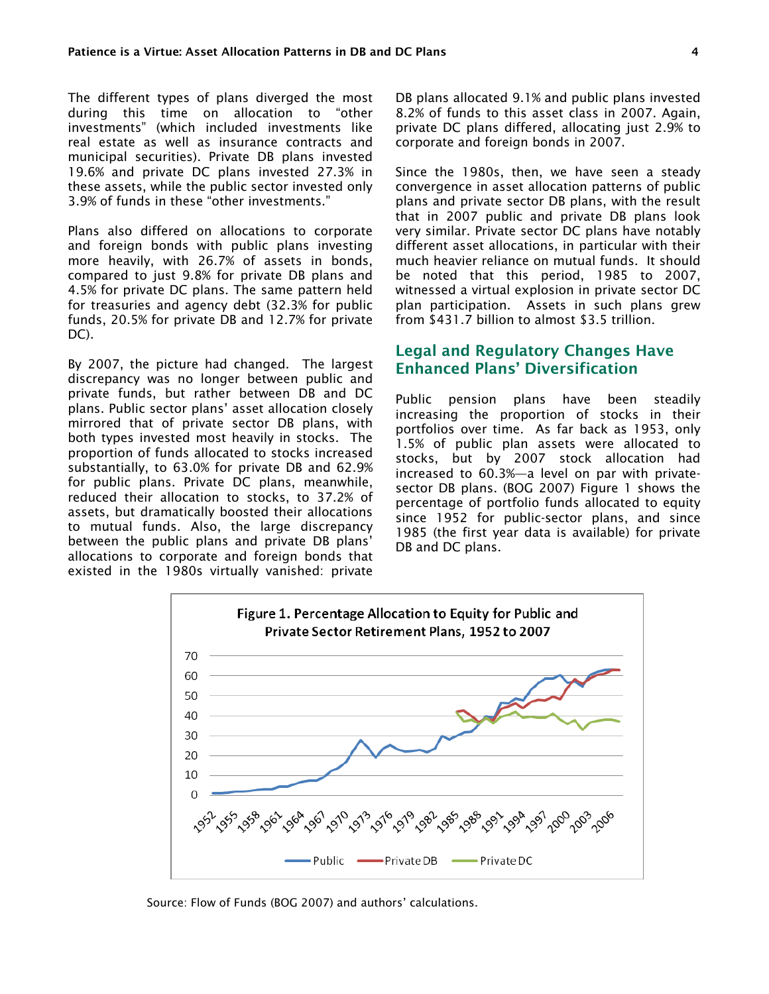The different types of plans diverged the most during this time on allocation to "other investments" (which included investments like real estate as well as insurance contracts and municipal securities). Private DB plans invested 19.6% and private DC plans invested 27.3% in these assets, while the public sector invested only 3.9% of funds in these "other investments."

Plans also differed on allocations to corporate and foreign bonds with public plans investing more heavily, with 26.7% of assets in bonds, compared to just 9.8% for private DB plans and 4.5% for private DC plans. The same pattern held for treasuries and agency debt (32.3% for public funds, 20.5% for private DB and 12.7% for private DC).

By 2007, the picture had changed. The largest discrepancy was no longer between public and private funds, but rather between DB and DC plans. Public sector plans' asset allocation closely mirrored that of private sector DB plans, with both types invested most heavily in stocks. The proportion of funds allocated to stocks increased substantially, to 63.0% for private DB and 62.9% for public plans. Private DC plans, meanwhile, reduced their allocation to stocks, to 37.2% of assets, but dramatically boosted their allocations to mutual funds. Also, the large discrepancy between the public plans and private DB plans' allocations to corporate and foreign bonds that existed in the 1980s virtually vanished: private

DB plans allocated 9.1% and public plans invested 8.2% of funds to this asset class in 2007. Again, private DC plans differed, allocating just 2.9% to corporate and foreign bonds in 2007.

Since the 1980s, then, we have seen a steady convergence in asset allocation patterns of public plans and private sector DB plans, with the result that in 2007 public and private DB plans look very similar. Private sector DC plans have notably different asset allocations, in particular with their much heavier reliance on mutual funds. It should be noted that this period, 1985 to 2007, witnessed a virtual explosion in private sector DC plan participation. Assets in such plans grew from \$431.7 billion to almost \$3.5 trillion.

## Legal and Regulatory Changes Have Enhanced Plans' Diversification

Public pension plans have been steadily increasing the proportion of stocks in their portfolios over time. As far back as 1953, only 1.5% of public plan assets were allocated to stocks, but by 2007 stock allocation had increased to 60.3%—a level on par with privatesector DB plans. (BOG 2007) Figure 1 shows the percentage of portfolio funds allocated to equity since 1952 for public-sector plans, and since 1985 (the first year data is available) for private DB and DC plans.



Source: Flow of Funds (BOG 2007) and authors' calculations.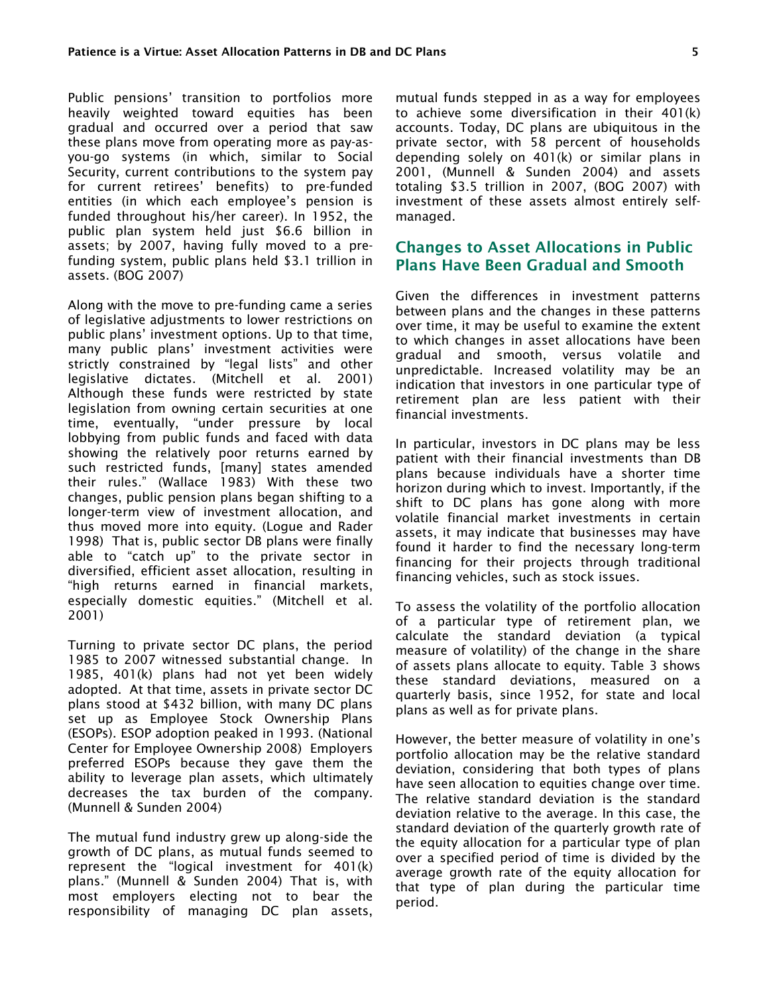Public pensions' transition to portfolios more heavily weighted toward equities has been gradual and occurred over a period that saw these plans move from operating more as pay-asyou-go systems (in which, similar to Social Security, current contributions to the system pay for current retirees' benefits) to pre-funded entities (in which each employee's pension is funded throughout his/her career). In 1952, the public plan system held just \$6.6 billion in assets; by 2007, having fully moved to a prefunding system, public plans held \$3.1 trillion in assets. (BOG 2007)

Along with the move to pre-funding came a series of legislative adjustments to lower restrictions on public plans' investment options. Up to that time, many public plans' investment activities were strictly constrained by "legal lists" and other legislative dictates. (Mitchell et al. 2001) Although these funds were restricted by state legislation from owning certain securities at one time, eventually, "under pressure by local lobbying from public funds and faced with data showing the relatively poor returns earned by such restricted funds, [many] states amended their rules." (Wallace 1983) With these two changes, public pension plans began shifting to a longer-term view of investment allocation, and thus moved more into equity. (Logue and Rader 1998) That is, public sector DB plans were finally able to "catch up" to the private sector in diversified, efficient asset allocation, resulting in "high returns earned in financial markets, especially domestic equities." (Mitchell et al. 2001)

Turning to private sector DC plans, the period 1985 to 2007 witnessed substantial change. In 1985, 401(k) plans had not yet been widely adopted. At that time, assets in private sector DC plans stood at \$432 billion, with many DC plans set up as Employee Stock Ownership Plans (ESOPs). ESOP adoption peaked in 1993. (National Center for Employee Ownership 2008) Employers preferred ESOPs because they gave them the ability to leverage plan assets, which ultimately decreases the tax burden of the company. (Munnell & Sunden 2004)

The mutual fund industry grew up along-side the growth of DC plans, as mutual funds seemed to represent the "logical investment for 401(k) plans." (Munnell & Sunden 2004) That is, with most employers electing not to bear the responsibility of managing DC plan assets, mutual funds stepped in as a way for employees to achieve some diversification in their 401(k) accounts. Today, DC plans are ubiquitous in the private sector, with 58 percent of households depending solely on 401(k) or similar plans in 2001, (Munnell & Sunden 2004) and assets totaling \$3.5 trillion in 2007, (BOG 2007) with investment of these assets almost entirely selfmanaged.

#### Changes to Asset Allocations in Public Plans Have Been Gradual and Smooth

Given the differences in investment patterns between plans and the changes in these patterns over time, it may be useful to examine the extent to which changes in asset allocations have been gradual and smooth, versus volatile and unpredictable. Increased volatility may be an indication that investors in one particular type of retirement plan are less patient with their financial investments.

In particular, investors in DC plans may be less patient with their financial investments than DB plans because individuals have a shorter time horizon during which to invest. Importantly, if the shift to DC plans has gone along with more volatile financial market investments in certain assets, it may indicate that businesses may have found it harder to find the necessary long-term financing for their projects through traditional financing vehicles, such as stock issues.

To assess the volatility of the portfolio allocation of a particular type of retirement plan, we calculate the standard deviation (a typical measure of volatility) of the change in the share of assets plans allocate to equity. Table 3 shows these standard deviations, measured on a quarterly basis, since 1952, for state and local plans as well as for private plans.

However, the better measure of volatility in one's portfolio allocation may be the relative standard deviation, considering that both types of plans have seen allocation to equities change over time. The relative standard deviation is the standard deviation relative to the average. In this case, the standard deviation of the quarterly growth rate of the equity allocation for a particular type of plan over a specified period of time is divided by the average growth rate of the equity allocation for that type of plan during the particular time period.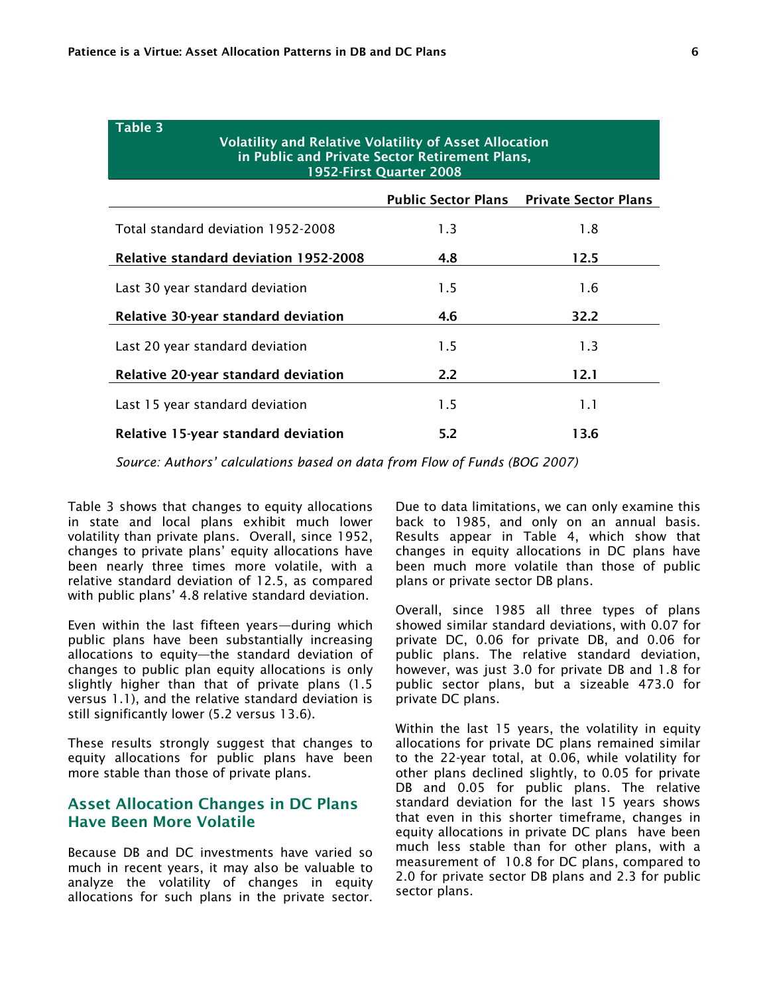Table 3

| $i$ uvit $j$<br><b>Volatility and Relative Volatility of Asset Allocation</b><br>in Public and Private Sector Retirement Plans,<br>1952-First Quarter 2008 |                            |                             |  |  |  |  |  |  |
|------------------------------------------------------------------------------------------------------------------------------------------------------------|----------------------------|-----------------------------|--|--|--|--|--|--|
|                                                                                                                                                            | <b>Public Sector Plans</b> | <b>Private Sector Plans</b> |  |  |  |  |  |  |
| Total standard deviation 1952-2008                                                                                                                         | 1.3                        | 1.8                         |  |  |  |  |  |  |
| <b>Relative standard deviation 1952-2008</b>                                                                                                               | 4.8                        | 12.5                        |  |  |  |  |  |  |
| Last 30 year standard deviation                                                                                                                            | 1.5                        | 1.6                         |  |  |  |  |  |  |
| Relative 30-year standard deviation                                                                                                                        | 4.6                        | 32.2                        |  |  |  |  |  |  |
| Last 20 year standard deviation                                                                                                                            | 1.5                        | 1.3                         |  |  |  |  |  |  |
| Relative 20-year standard deviation                                                                                                                        | $2.2\phantom{0}$           | 12.1                        |  |  |  |  |  |  |
| Last 15 year standard deviation                                                                                                                            | 1.5                        | 1.1                         |  |  |  |  |  |  |
| Relative 15-year standard deviation                                                                                                                        | 5.2                        | 13.6                        |  |  |  |  |  |  |

*Source: Authors' calculations based on data from Flow of Funds (BOG 2007)* 

Table 3 shows that changes to equity allocations in state and local plans exhibit much lower volatility than private plans. Overall, since 1952, changes to private plans' equity allocations have been nearly three times more volatile, with a relative standard deviation of 12.5, as compared with public plans' 4.8 relative standard deviation.

Even within the last fifteen years—during which public plans have been substantially increasing allocations to equity—the standard deviation of changes to public plan equity allocations is only slightly higher than that of private plans (1.5 versus 1.1), and the relative standard deviation is still significantly lower (5.2 versus 13.6).

These results strongly suggest that changes to equity allocations for public plans have been more stable than those of private plans.

#### Asset Allocation Changes in DC Plans Have Been More Volatile

Because DB and DC investments have varied so much in recent years, it may also be valuable to analyze the volatility of changes in equity allocations for such plans in the private sector.

Due to data limitations, we can only examine this back to 1985, and only on an annual basis. Results appear in Table 4, which show that changes in equity allocations in DC plans have been much more volatile than those of public plans or private sector DB plans.

Overall, since 1985 all three types of plans showed similar standard deviations, with 0.07 for private DC, 0.06 for private DB, and 0.06 for public plans. The relative standard deviation, however, was just 3.0 for private DB and 1.8 for public sector plans, but a sizeable 473.0 for private DC plans.

Within the last 15 years, the volatility in equity allocations for private DC plans remained similar to the 22-year total, at 0.06, while volatility for other plans declined slightly, to 0.05 for private DB and 0.05 for public plans. The relative standard deviation for the last 15 years shows that even in this shorter timeframe, changes in equity allocations in private DC plans have been much less stable than for other plans, with a measurement of 10.8 for DC plans, compared to 2.0 for private sector DB plans and 2.3 for public sector plans.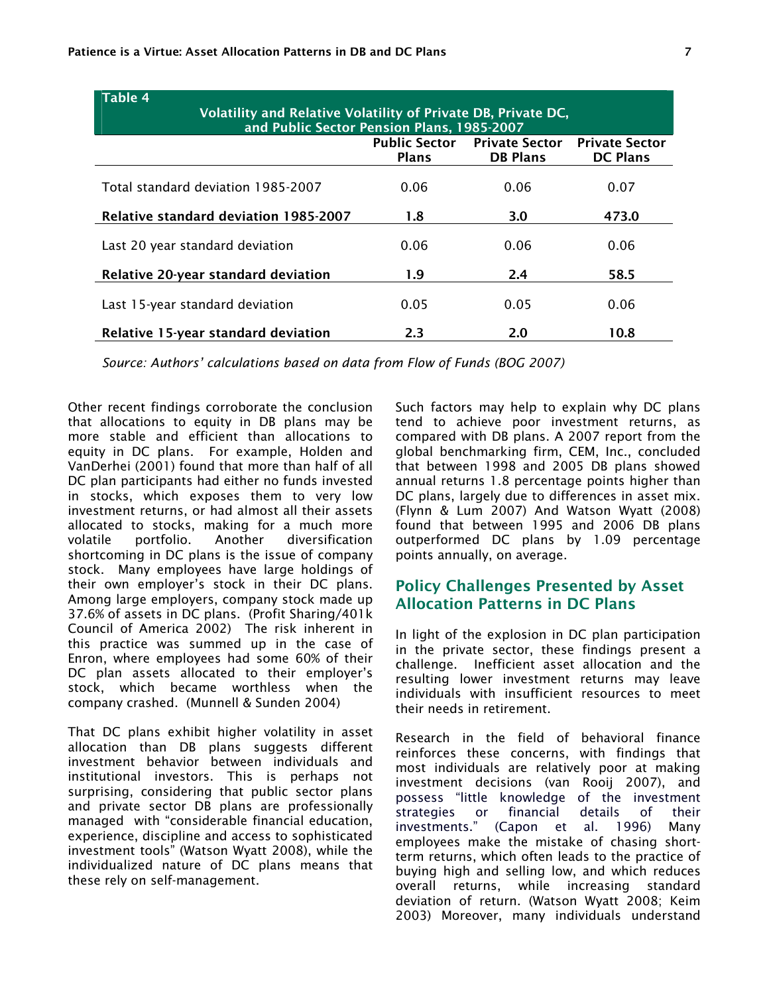| <b>Table 4</b>                                                                                              |                                      |                                          |                                          |  |  |  |  |  |
|-------------------------------------------------------------------------------------------------------------|--------------------------------------|------------------------------------------|------------------------------------------|--|--|--|--|--|
| Volatility and Relative Volatility of Private DB, Private DC,<br>and Public Sector Pension Plans, 1985-2007 |                                      |                                          |                                          |  |  |  |  |  |
|                                                                                                             | <b>Public Sector</b><br><b>Plans</b> | <b>Private Sector</b><br><b>DB Plans</b> | <b>Private Sector</b><br><b>DC Plans</b> |  |  |  |  |  |
| Total standard deviation 1985-2007                                                                          | 0.06                                 | 0.06                                     | 0.07                                     |  |  |  |  |  |
| <b>Relative standard deviation 1985-2007</b>                                                                | 1.8                                  | 3.0                                      | 473.0                                    |  |  |  |  |  |
| Last 20 year standard deviation                                                                             | 0.06                                 | 0.06                                     | 0.06                                     |  |  |  |  |  |
| Relative 20-year standard deviation                                                                         | 1.9                                  | 2.4                                      | 58.5                                     |  |  |  |  |  |
| Last 15-year standard deviation                                                                             | 0.05                                 | 0.05                                     | 0.06                                     |  |  |  |  |  |
| Relative 15-year standard deviation                                                                         | 2.3                                  | 2.0                                      | 10.8                                     |  |  |  |  |  |

*Source: Authors' calculations based on data from Flow of Funds (BOG 2007)*

Other recent findings corroborate the conclusion that allocations to equity in DB plans may be more stable and efficient than allocations to equity in DC plans. For example, Holden and VanDerhei (2001) found that more than half of all DC plan participants had either no funds invested in stocks, which exposes them to very low investment returns, or had almost all their assets allocated to stocks, making for a much more volatile portfolio. Another diversification shortcoming in DC plans is the issue of company stock. Many employees have large holdings of their own employer's stock in their DC plans. Among large employers, company stock made up 37.6% of assets in DC plans. (Profit Sharing/401k Council of America 2002) The risk inherent in this practice was summed up in the case of Enron, where employees had some 60% of their DC plan assets allocated to their employer's stock, which became worthless when the company crashed. (Munnell & Sunden 2004)

That DC plans exhibit higher volatility in asset allocation than DB plans suggests different investment behavior between individuals and institutional investors. This is perhaps not surprising, considering that public sector plans and private sector DB plans are professionally managed with "considerable financial education, experience, discipline and access to sophisticated investment tools" (Watson Wyatt 2008), while the individualized nature of DC plans means that these rely on self-management.

Such factors may help to explain why DC plans tend to achieve poor investment returns, as compared with DB plans. A 2007 report from the global benchmarking firm, CEM, Inc., concluded that between 1998 and 2005 DB plans showed annual returns 1.8 percentage points higher than DC plans, largely due to differences in asset mix. (Flynn & Lum 2007) And Watson Wyatt (2008) found that between 1995 and 2006 DB plans outperformed DC plans by 1.09 percentage points annually, on average.

## Policy Challenges Presented by Asset Allocation Patterns in DC Plans

In light of the explosion in DC plan participation in the private sector, these findings present a challenge. Inefficient asset allocation and the resulting lower investment returns may leave individuals with insufficient resources to meet their needs in retirement.

Research in the field of behavioral finance reinforces these concerns, with findings that most individuals are relatively poor at making investment decisions (van Rooij 2007), and possess "little knowledge of the investment strategies or financial details of their investments." (Capon et al. 1996) Many employees make the mistake of chasing shortterm returns, which often leads to the practice of buying high and selling low, and which reduces overall returns, while increasing standard deviation of return. (Watson Wyatt 2008; Keim 2003) Moreover, many individuals understand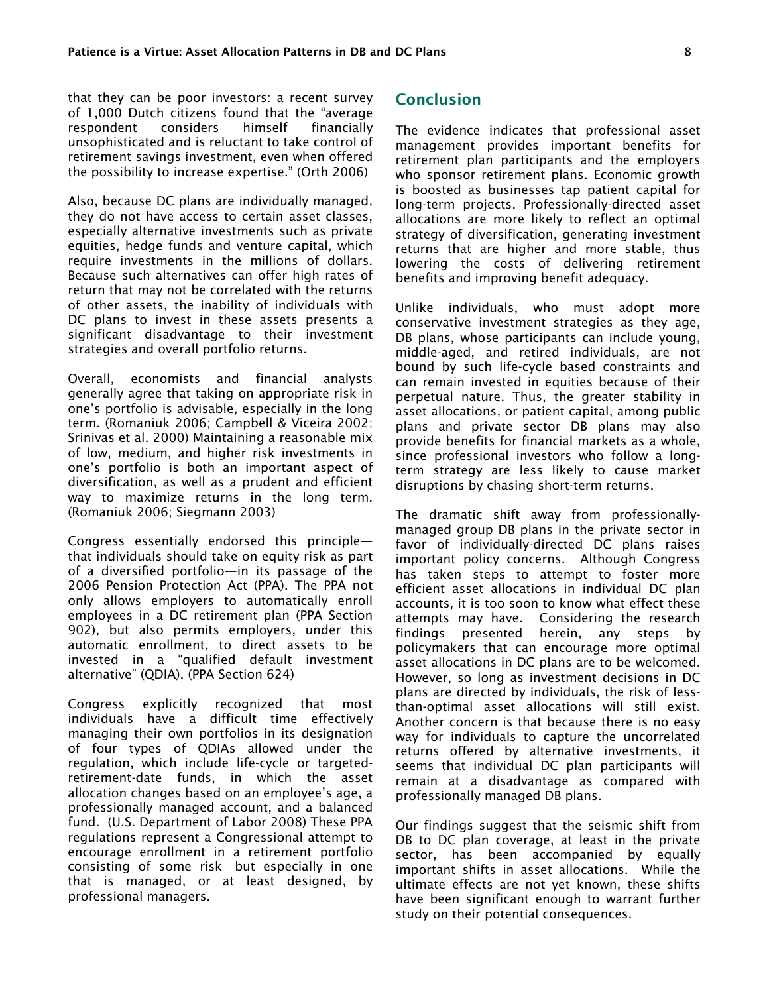that they can be poor investors: a recent survey of 1,000 Dutch citizens found that the "average respondent considers himself financially unsophisticated and is reluctant to take control of retirement savings investment, even when offered the possibility to increase expertise." (Orth 2006)

Also, because DC plans are individually managed, they do not have access to certain asset classes, especially alternative investments such as private equities, hedge funds and venture capital, which require investments in the millions of dollars. Because such alternatives can offer high rates of return that may not be correlated with the returns of other assets, the inability of individuals with DC plans to invest in these assets presents a significant disadvantage to their investment strategies and overall portfolio returns.

Overall, economists and financial analysts generally agree that taking on appropriate risk in one's portfolio is advisable, especially in the long term. (Romaniuk 2006; Campbell & Viceira 2002; Srinivas et al. 2000) Maintaining a reasonable mix of low, medium, and higher risk investments in one's portfolio is both an important aspect of diversification, as well as a prudent and efficient way to maximize returns in the long term. (Romaniuk 2006; Siegmann 2003)

Congress essentially endorsed this principle that individuals should take on equity risk as part of a diversified portfolio—in its passage of the 2006 Pension Protection Act (PPA). The PPA not only allows employers to automatically enroll employees in a DC retirement plan (PPA Section 902), but also permits employers, under this automatic enrollment, to direct assets to be invested in a "qualified default investment alternative" (QDIA). (PPA Section 624)

Congress explicitly recognized that most individuals have a difficult time effectively managing their own portfolios in its designation of four types of QDIAs allowed under the regulation, which include life-cycle or targetedretirement-date funds, in which the asset allocation changes based on an employee's age, a professionally managed account, and a balanced fund. (U.S. Department of Labor 2008) These PPA regulations represent a Congressional attempt to encourage enrollment in a retirement portfolio consisting of some risk—but especially in one that is managed, or at least designed, by professional managers.

### Conclusion

The evidence indicates that professional asset management provides important benefits for retirement plan participants and the employers who sponsor retirement plans. Economic growth is boosted as businesses tap patient capital for long-term projects. Professionally-directed asset allocations are more likely to reflect an optimal strategy of diversification, generating investment returns that are higher and more stable, thus lowering the costs of delivering retirement benefits and improving benefit adequacy.

Unlike individuals, who must adopt more conservative investment strategies as they age, DB plans, whose participants can include young, middle-aged, and retired individuals, are not bound by such life-cycle based constraints and can remain invested in equities because of their perpetual nature. Thus, the greater stability in asset allocations, or patient capital, among public plans and private sector DB plans may also provide benefits for financial markets as a whole, since professional investors who follow a longterm strategy are less likely to cause market disruptions by chasing short-term returns.

The dramatic shift away from professionallymanaged group DB plans in the private sector in favor of individually-directed DC plans raises important policy concerns. Although Congress has taken steps to attempt to foster more efficient asset allocations in individual DC plan accounts, it is too soon to know what effect these attempts may have. Considering the research findings presented herein, any steps by policymakers that can encourage more optimal asset allocations in DC plans are to be welcomed. However, so long as investment decisions in DC plans are directed by individuals, the risk of lessthan-optimal asset allocations will still exist. Another concern is that because there is no easy way for individuals to capture the uncorrelated returns offered by alternative investments, it seems that individual DC plan participants will remain at a disadvantage as compared with professionally managed DB plans.

Our findings suggest that the seismic shift from DB to DC plan coverage, at least in the private sector, has been accompanied by equally important shifts in asset allocations. While the ultimate effects are not yet known, these shifts have been significant enough to warrant further study on their potential consequences.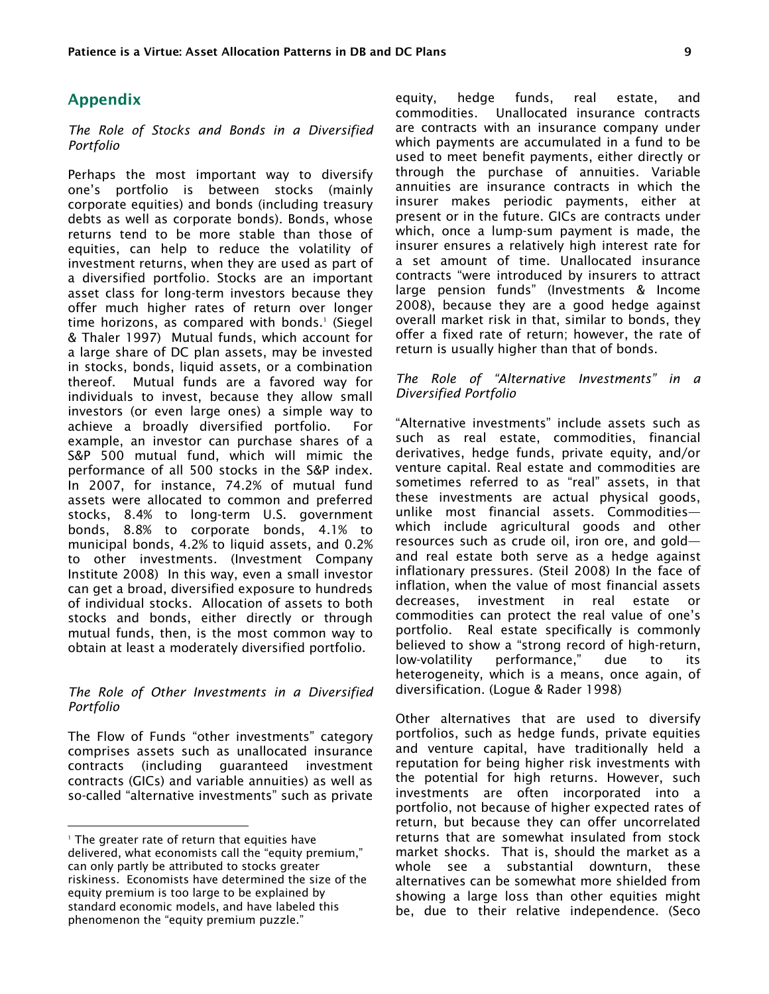#### Appendix

*The Role of Stocks and Bonds in a Diversified Portfolio* 

Perhaps the most important way to diversify one's portfolio is between stocks (mainly corporate equities) and bonds (including treasury debts as well as corporate bonds). Bonds, whose returns tend to be more stable than those of equities, can help to reduce the volatility of investment returns, when they are used as part of a diversified portfolio. Stocks are an important asset class for long-term investors because they offer much higher rates of return over longer time horizons, as compared with bonds.<sup>1</sup> (Siegel & Thaler 1997) Mutual funds, which account for a large share of DC plan assets, may be invested in stocks, bonds, liquid assets, or a combination thereof. Mutual funds are a favored way for individuals to invest, because they allow small investors (or even large ones) a simple way to achieve a broadly diversified portfolio. For example, an investor can purchase shares of a S&P 500 mutual fund, which will mimic the performance of all 500 stocks in the S&P index. In 2007, for instance, 74.2% of mutual fund assets were allocated to common and preferred stocks, 8.4% to long-term U.S. government bonds, 8.8% to corporate bonds, 4.1% to municipal bonds, 4.2% to liquid assets, and 0.2% to other investments. (Investment Company Institute 2008) In this way, even a small investor can get a broad, diversified exposure to hundreds of individual stocks. Allocation of assets to both stocks and bonds, either directly or through mutual funds, then, is the most common way to obtain at least a moderately diversified portfolio.

#### *The Role of Other Investments in a Diversified Portfolio*

The Flow of Funds "other investments" category comprises assets such as unallocated insurance contracts (including guaranteed investment contracts (GICs) and variable annuities) as well as so-called "alternative investments" such as private

 $\overline{a}$ 

equity, hedge funds, real estate, and commodities. Unallocated insurance contracts are contracts with an insurance company under which payments are accumulated in a fund to be used to meet benefit payments, either directly or through the purchase of annuities. Variable annuities are insurance contracts in which the insurer makes periodic payments, either at present or in the future. GICs are contracts under which, once a lump-sum payment is made, the insurer ensures a relatively high interest rate for a set amount of time. Unallocated insurance contracts "were introduced by insurers to attract large pension funds" (Investments & Income 2008), because they are a good hedge against overall market risk in that, similar to bonds, they offer a fixed rate of return; however, the rate of return is usually higher than that of bonds.

#### *The Role of "Alternative Investments" in a Diversified Portfolio*

"Alternative investments" include assets such as such as real estate, commodities, financial derivatives, hedge funds, private equity, and/or venture capital. Real estate and commodities are sometimes referred to as "real" assets, in that these investments are actual physical goods, unlike most financial assets. Commodities which include agricultural goods and other resources such as crude oil, iron ore, and gold and real estate both serve as a hedge against inflationary pressures. (Steil 2008) In the face of inflation, when the value of most financial assets decreases, investment in real estate or commodities can protect the real value of one's portfolio. Real estate specifically is commonly believed to show a "strong record of high-return, low-volatility performance," due to its heterogeneity, which is a means, once again, of diversification. (Logue & Rader 1998)

Other alternatives that are used to diversify portfolios, such as hedge funds, private equities and venture capital, have traditionally held a reputation for being higher risk investments with the potential for high returns. However, such investments are often incorporated into a portfolio, not because of higher expected rates of return, but because they can offer uncorrelated returns that are somewhat insulated from stock market shocks. That is, should the market as a whole see a substantial downturn, these alternatives can be somewhat more shielded from showing a large loss than other equities might be, due to their relative independence. (Seco

<sup>1</sup> The greater rate of return that equities have delivered, what economists call the "equity premium," can only partly be attributed to stocks greater riskiness. Economists have determined the size of the equity premium is too large to be explained by standard economic models, and have labeled this phenomenon the "equity premium puzzle."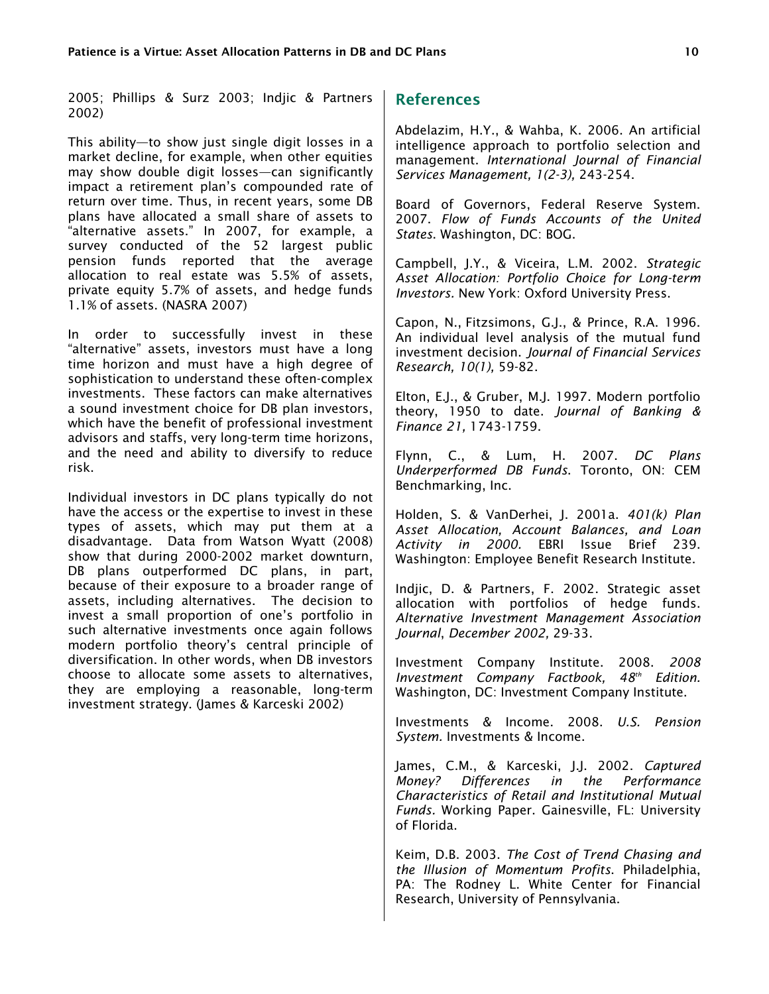2005; Phillips & Surz 2003; Indjic & Partners 2002)

This ability—to show just single digit losses in a market decline, for example, when other equities may show double digit losses—can significantly impact a retirement plan's compounded rate of return over time. Thus, in recent years, some DB plans have allocated a small share of assets to "alternative assets." In 2007, for example, a survey conducted of the 52 largest public pension funds reported that the average allocation to real estate was 5.5% of assets, private equity 5.7% of assets, and hedge funds 1.1% of assets. (NASRA 2007)

In order to successfully invest in these "alternative" assets, investors must have a long time horizon and must have a high degree of sophistication to understand these often-complex investments. These factors can make alternatives a sound investment choice for DB plan investors, which have the benefit of professional investment advisors and staffs, very long-term time horizons, and the need and ability to diversify to reduce risk.

Individual investors in DC plans typically do not have the access or the expertise to invest in these types of assets, which may put them at a disadvantage. Data from Watson Wyatt (2008) show that during 2000-2002 market downturn, DB plans outperformed DC plans, in part, because of their exposure to a broader range of assets, including alternatives. The decision to invest a small proportion of one's portfolio in such alternative investments once again follows modern portfolio theory's central principle of diversification. In other words, when DB investors choose to allocate some assets to alternatives, they are employing a reasonable, long-term investment strategy. (James & Karceski 2002)

## References

Abdelazim, H.Y., & Wahba, K. 2006. An artificial intelligence approach to portfolio selection and management. *International Journal of Financial Services Management, 1(2-3),* 243-254.

Board of Governors, Federal Reserve System. 2007. *Flow of Funds Accounts of the United States*. Washington, DC: BOG.

Campbell, J.Y., & Viceira, L.M. 2002. *Strategic Asset Allocation: Portfolio Choice for Long-term Investors.* New York: Oxford University Press.

Capon, N., Fitzsimons, G.J., & Prince, R.A. 1996. An individual level analysis of the mutual fund investment decision. *Journal of Financial Services Research, 10(1),* 59-82.

Elton, E.J., & Gruber, M.J. 1997. Modern portfolio theory, 1950 to date. *Journal of Banking & Finance 21,* 1743-1759.

Flynn, C., & Lum, H. 2007. *DC Plans Underperformed DB Funds*. Toronto, ON: CEM Benchmarking, Inc.

Holden, S. & VanDerhei, J. 2001a. *401(k) Plan Asset Allocation, Account Balances, and Loan Activity in 2000.* EBRI Issue Brief 239. Washington: Employee Benefit Research Institute.

Indjic, D. & Partners, F. 2002. Strategic asset allocation with portfolios of hedge funds. *Alternative Investment Management Association Journal*, *December 2002,* 29-33.

Investment Company Institute. 2008. *2008 Investment Company Factbook, 48th Edition.*  Washington, DC: Investment Company Institute.

Investments & Income. 2008. *U.S. Pension System.* Investments & Income.

James, C.M., & Karceski, J.J. 2002. *Captured Money? Differences in the Performance Characteristics of Retail and Institutional Mutual Funds.* Working Paper. Gainesville, FL: University of Florida.

Keim, D.B. 2003. *The Cost of Trend Chasing and the Illusion of Momentum Profits*. Philadelphia, PA: The Rodney L. White Center for Financial Research, University of Pennsylvania.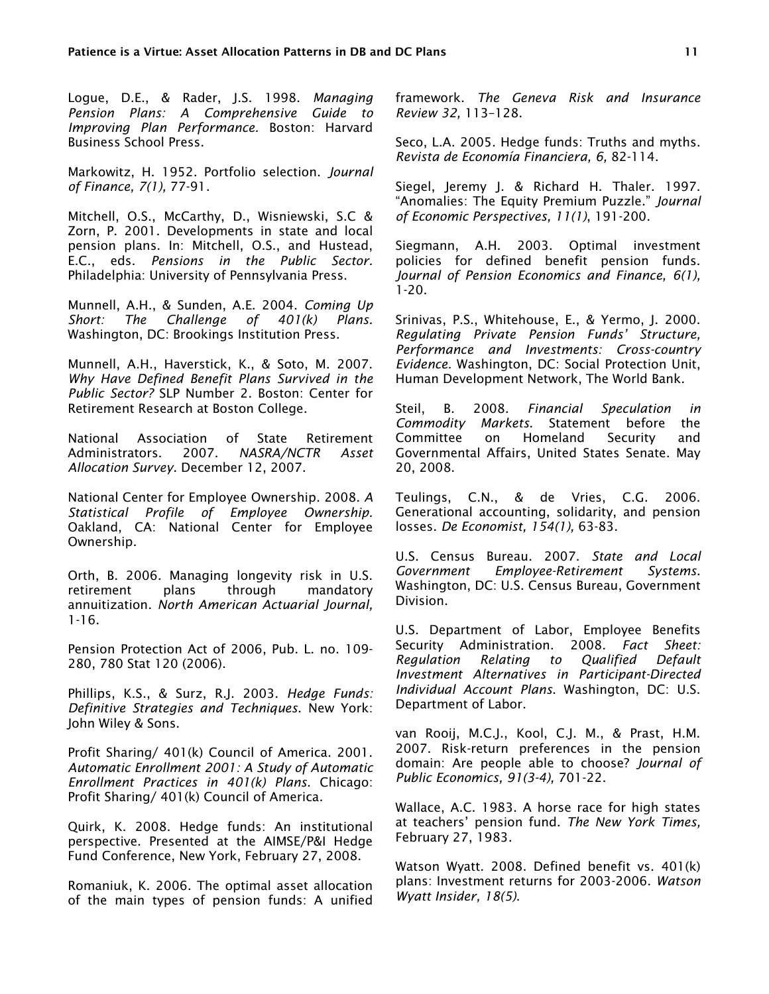Logue, D.E., & Rader, J.S. 1998. *Managing Pension Plans: A Comprehensive Guide to Improving Plan Performance.* Boston: Harvard Business School Press.

Markowitz, H. 1952. Portfolio selection. *Journal of Finance, 7(1),* 77-91.

Mitchell, O.S., McCarthy, D., Wisniewski, S.C & Zorn, P. 2001. Developments in state and local pension plans. In: Mitchell, O.S., and Hustead, E.C., eds. *Pensions in the Public Sector.*  Philadelphia: University of Pennsylvania Press.

Munnell, A.H., & Sunden, A.E. 2004. *Coming Up Short: The Challenge of 401(k) Plans.*  Washington, DC: Brookings Institution Press.

Munnell, A.H., Haverstick, K., & Soto, M. 2007. *Why Have Defined Benefit Plans Survived in the Public Sector?* SLP Number 2. Boston: Center for Retirement Research at Boston College.

National Association of State Retirement Administrators. 2007. *NASRA/NCTR Asset Allocation Survey.* December 12, 2007.

National Center for Employee Ownership. 2008. *A Statistical Profile of Employee Ownership.*  Oakland, CA: National Center for Employee Ownership.

Orth, B. 2006. Managing longevity risk in U.S. retirement plans through mandatory annuitization. *North American Actuarial Journal,*  1-16.

Pension Protection Act of 2006, Pub. L. no. 109- 280, 780 Stat 120 (2006).

Phillips, K.S., & Surz, R.J. 2003. *Hedge Funds: Definitive Strategies and Techniques*. New York: John Wiley & Sons.

Profit Sharing/ 401(k) Council of America. 2001. *Automatic Enrollment 2001: A Study of Automatic Enrollment Practices in 401(k) Plans*. Chicago: Profit Sharing/ 401(k) Council of America.

Quirk, K. 2008. Hedge funds: An institutional perspective. Presented at the AIMSE/P&I Hedge Fund Conference, New York, February 27, 2008.

Romaniuk, K. 2006. The optimal asset allocation of the main types of pension funds: A unified framework. *The Geneva Risk and Insurance Review 32,* 113–128.

Seco, L.A. 2005. Hedge funds: Truths and myths. *Revista de Economía Financiera, 6,* 82-114.

Siegel, Jeremy J. & Richard H. Thaler. 1997. "Anomalies: The Equity Premium Puzzle." *Journal of Economic Perspectives, 11(1)*, 191-200.

Siegmann, A.H. 2003. Optimal investment policies for defined benefit pension funds. *Journal of Pension Economics and Finance, 6(1),* 1-20.

Srinivas, P.S., Whitehouse, E., & Yermo, J. 2000. *Regulating Private Pension Funds' Structure, Performance and Investments: Cross-country Evidence.* Washington, DC: Social Protection Unit, Human Development Network, The World Bank.

Steil, B. 2008. *Financial Speculation in Commodity Markets*. Statement before the Committee on Homeland Security and Governmental Affairs, United States Senate. May 20, 2008.

Teulings, C.N., & de Vries, C.G. 2006. Generational accounting, solidarity, and pension losses. *De Economist, 154(1),* 63-83.

U.S. Census Bureau. 2007. *State and Local Government Employee-Retirement Systems*. Washington, DC: U.S. Census Bureau, Government Division.

U.S. Department of Labor, Employee Benefits Security Administration. 2008*. Fact Sheet: Regulation Relating to Qualified Default Investment Alternatives in Participant-Directed Individual Account Plans*. Washington, DC: U.S. Department of Labor.

van Rooij, M.C.J., Kool, C.J. M., & Prast, H.M. 2007. Risk-return preferences in the pension domain: Are people able to choose? *Journal of Public Economics, 91(3-4),* 701-22.

Wallace, A.C. 1983. A horse race for high states at teachers' pension fund. *The New York Times,* February 27, 1983.

Watson Wyatt. 2008. Defined benefit vs. 401(k) plans: Investment returns for 2003-2006. *Watson Wyatt Insider, 18(5)*.